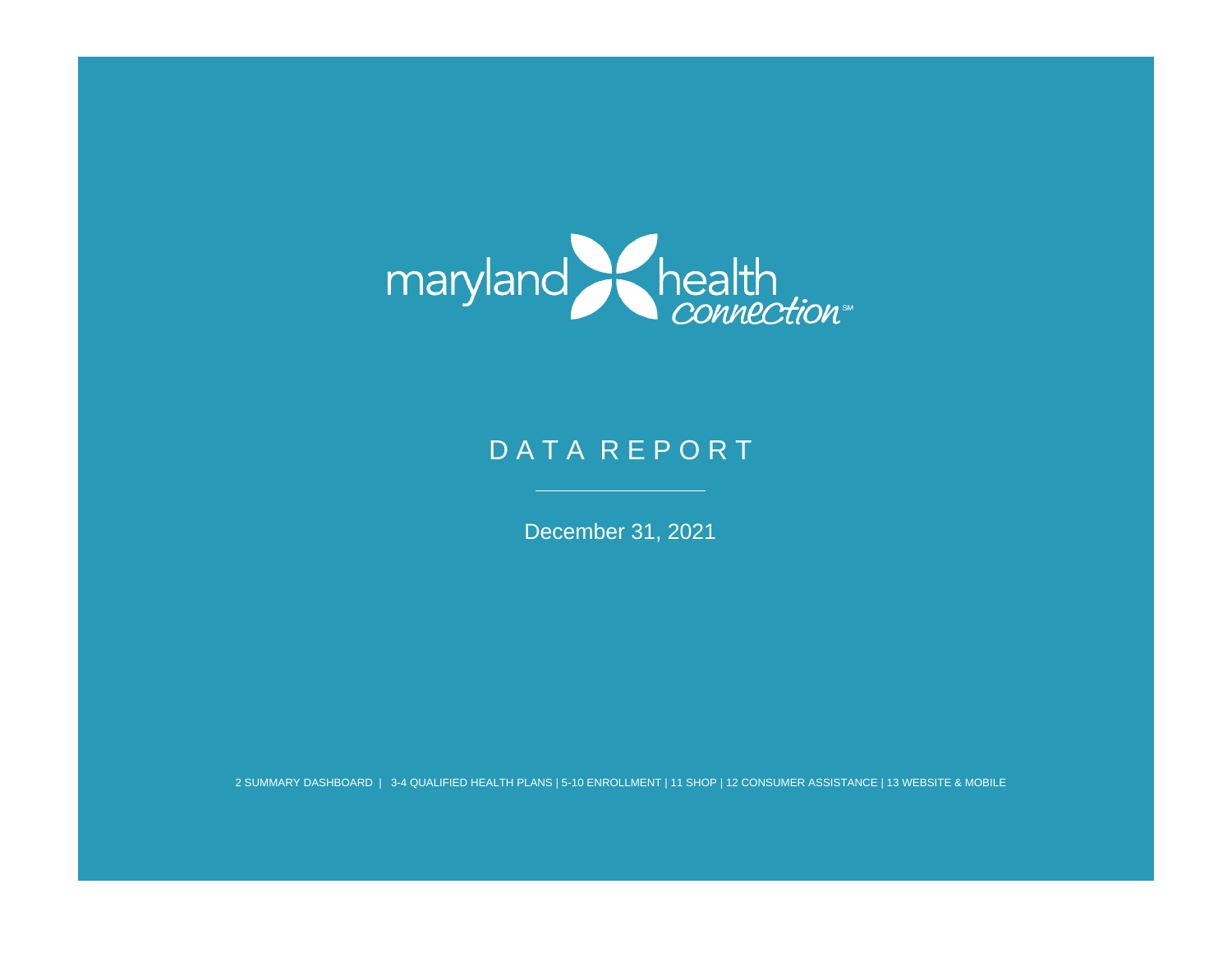

# DATA REPORT

December 31, 2021

2 SUMMARY DASHBOARD | 3-4 QUALIFIED HEALTH PLANS | 5-10 ENROLLMENT | 11 SHOP | 12 CONSUMER ASSISTANCE | 13 WEBSITE & MOBILE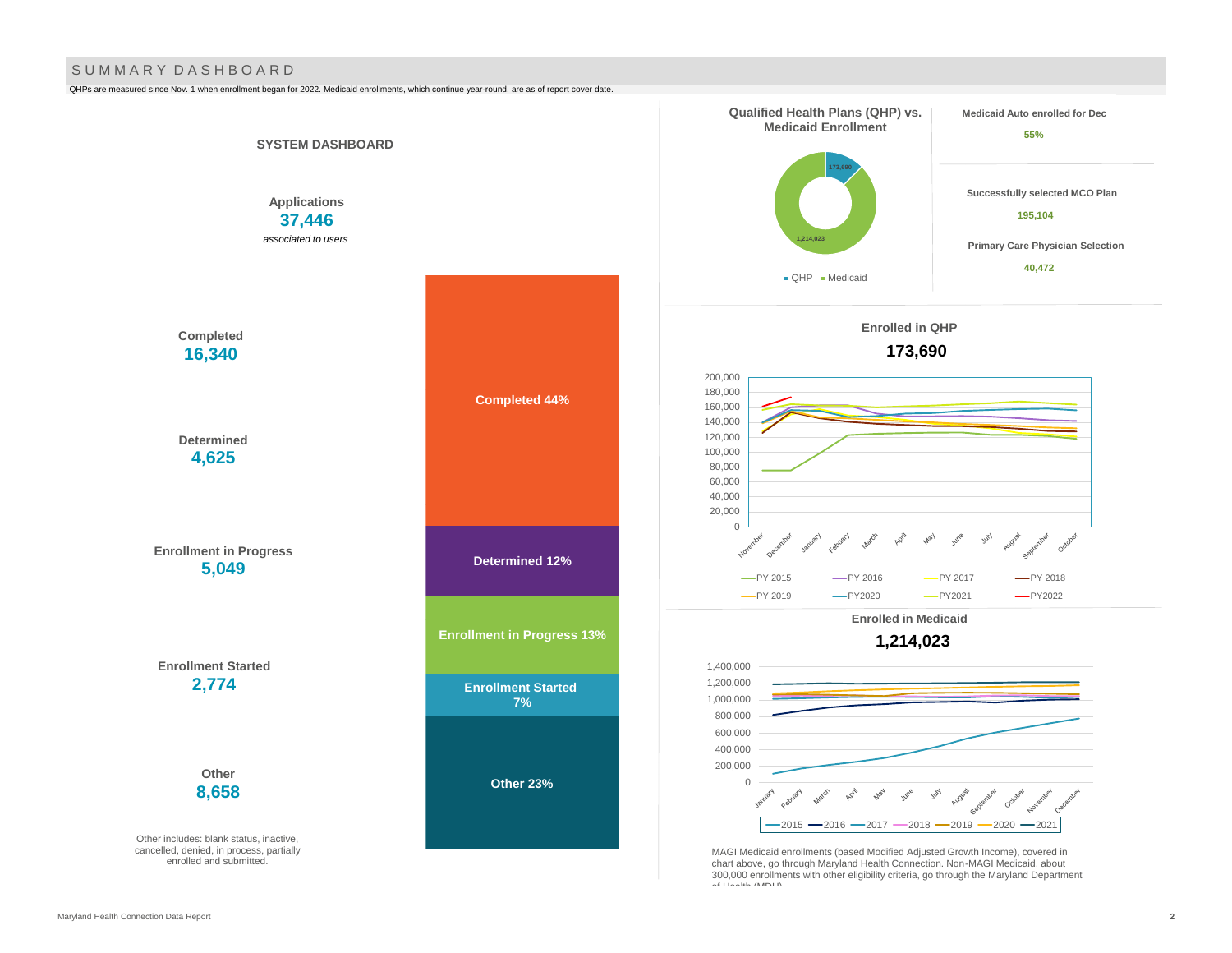#### S U M M A R Y D A S H B O A R D

QHPs are measured since Nov. 1 when enrollment began for 2022. Medicaid enrollments, which continue year-round, are as of report cover date.

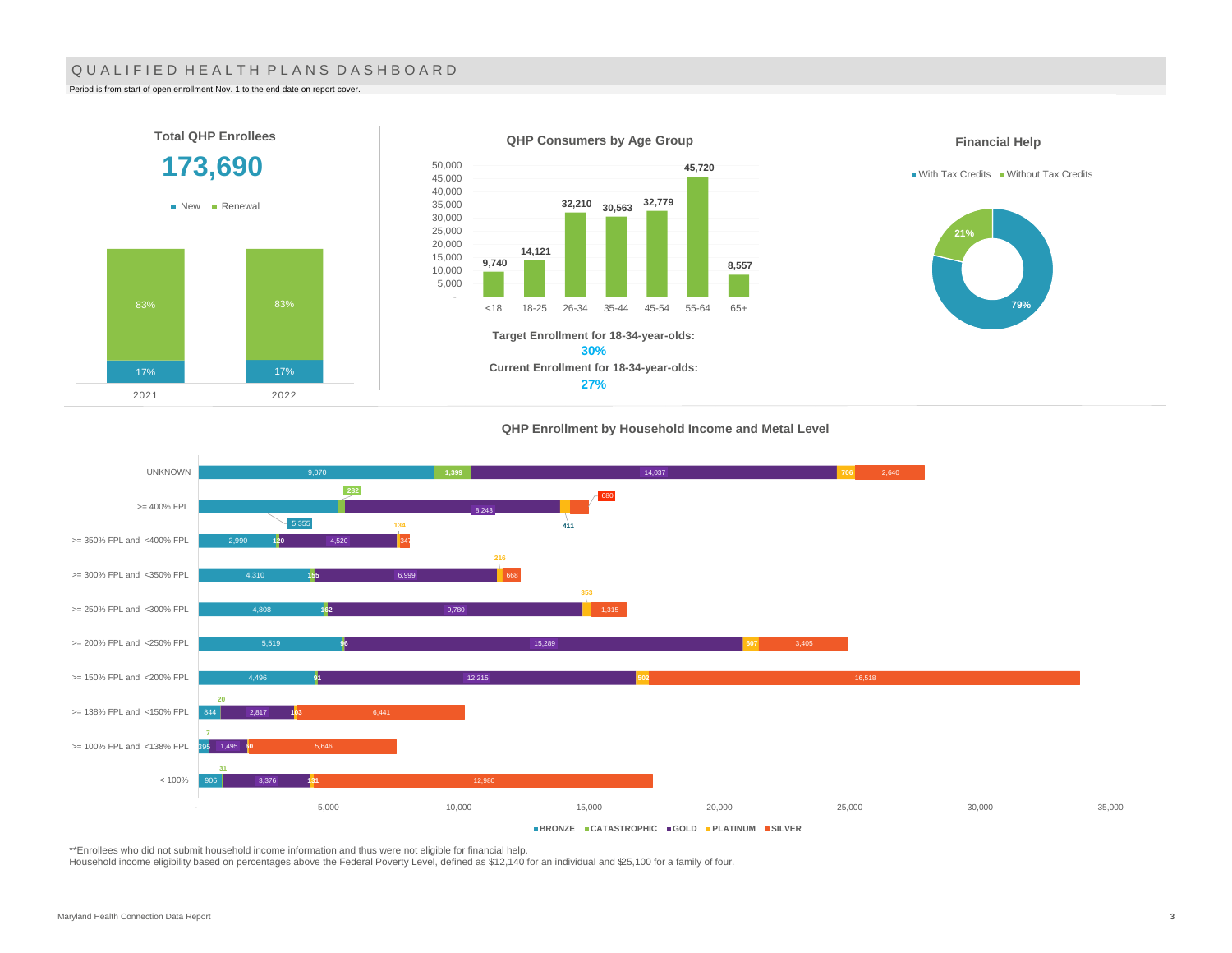#### QUALIFIED HEALTH PLANS DASHBOARD

Period is from start of open enrollment Nov. 1 to the end date on report cover.

2021 2022



#### **QHP Enrollment by Household Income and Metal Level**



\*\*Enrollees who did not submit household income information and thus were not eligible for financial help.

Household income eligibility based on percentages above the Federal Poverty Level, defined as \$12,140 for an individual and \$25,100 for a family of four.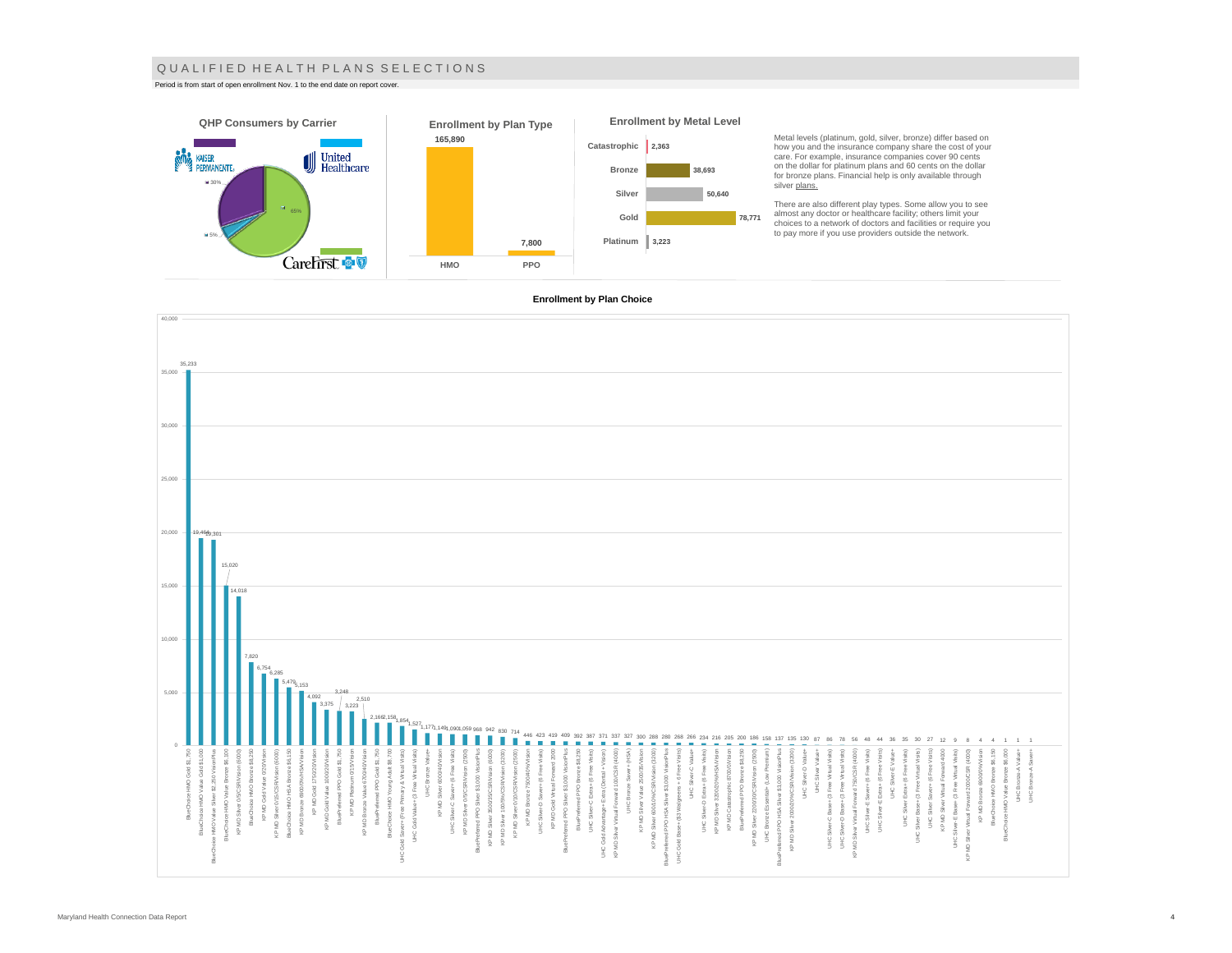#### Q U A L I F I E D H E A L T H P L A N S S E L E C T I O N S

Period is from start of open enrollment Nov. 1 to the end date on report cover.



Metal levels (platinum, gold, silver, bronze) differ based on how you and the insurance company share the cost of your care. For example, insurance companies cover 90 cents on the dollar for platinum plans and 60 cents on the dollar for bronze plans. Financial help is only available through

There are also different play types. Some allow you to see<br>almost any doctor or healthcare facility; others limit your<br>choices to a network of doctors and facilities or require you<br>to pay more if you use providers outside

#### **Enrollment by Plan Choice**

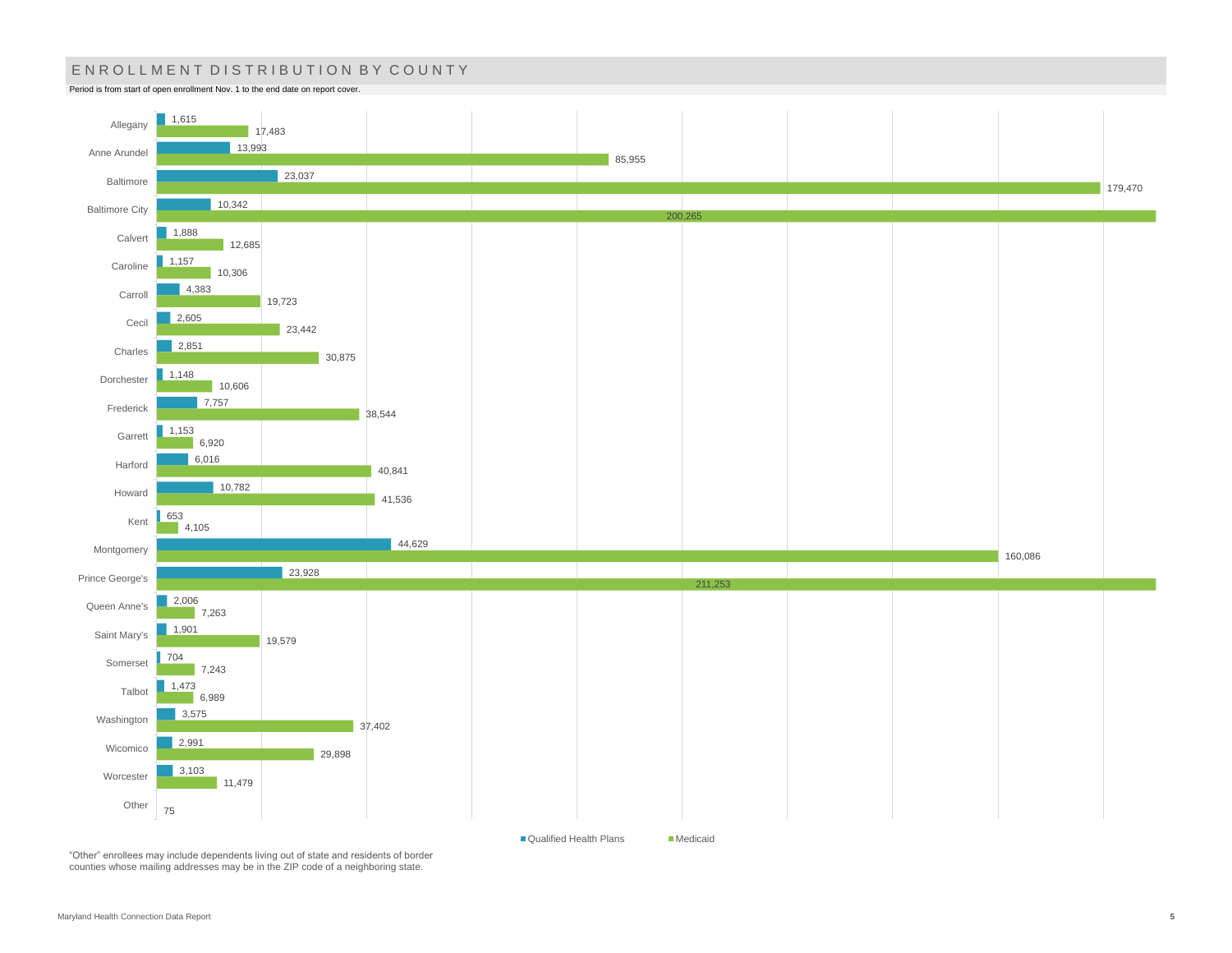# ENROLLMENT DISTRIBUTION BY COUNTY

Period is from start of open enrollment Nov. 1 to the end date on report cover.



■ Qualified Health Plans Medicaid

"Other" enrollees may include dependents living out of state and residents of border counties whose mailing addresses may be in the ZIP code of a neighboring state.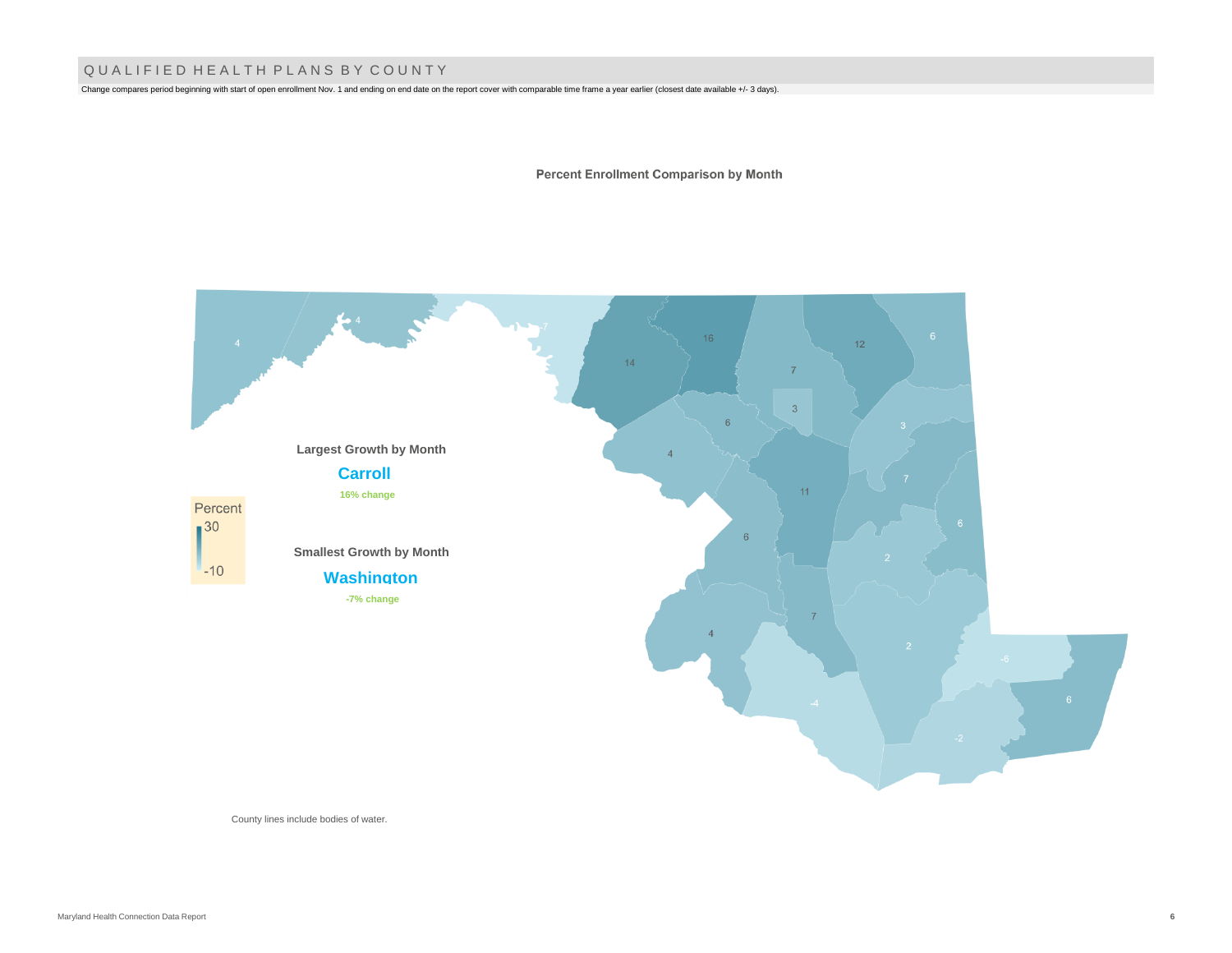### Q U A L I F I E D H E A L T H P L A N S B Y C O U N T Y

Change compares period beginning with start of open enrollment Nov. 1 and ending on end date on the report cover with comparable time frame a year earlier (closest date available +/- 3 days).

**Percent Enrollment Comparison by Month** 



County lines include bodies of water.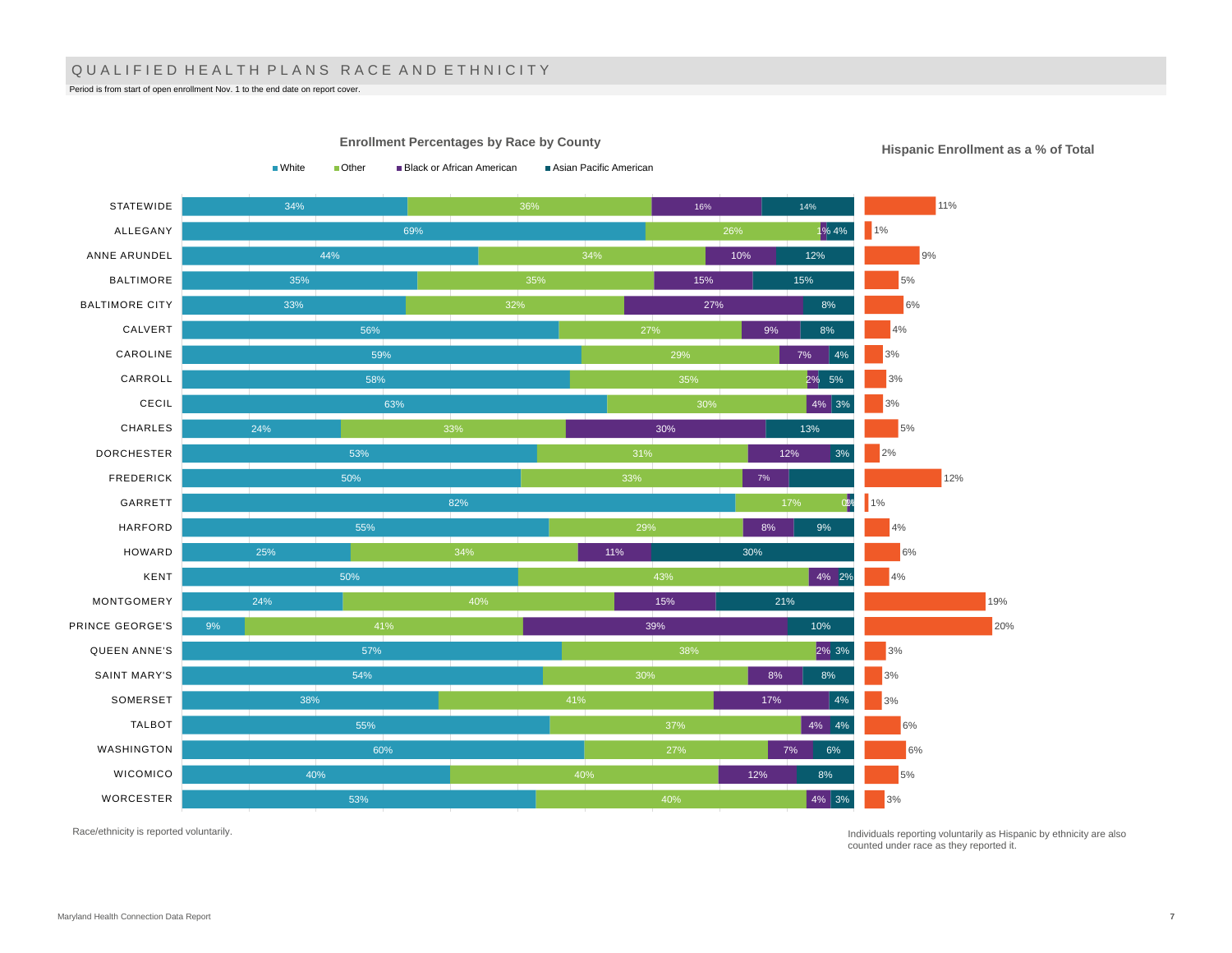### QUALIFIED HEALTH PLANS RACE AND ETHNICITY

Period is from start of open enrollment Nov. 1 to the end date on report cover.

34% 69% 44% 35% 33% 56% 59% 58% 63% 24% 53% 50% 82% 55% 25% 50% 24% 9% 57% 54% 38% 55% 60% 40% 53% 32% 27% 30% 34% 40% 37% 27% 40% 16% 1% 4% 10% 15% 27% 9% 7% 2% 5% 4% 3% 30% 12% 0% 1% 8% 11% 4% 2% 15% 39% 2% 3% 8% 17% 4% 4% 7% 12% 4% 3% 14% 12% 15% 8% 8% 4% 13% 3% 9% 30% 21% 10% 8%  $|4%$ 6% 8% **STATEWIDE** ALLEGANY ANNE ARUNDEL BALTIMORE BALTIMORE CITY CALVERT CAROLINE CARROLL CECIL CHARLES DORCHESTER FREDERICK GARRETT HARFORD HOWARD KENT MONTGOMERY PRINCE GEORGE'S QUEEN ANNE'S SAINT MARY'S SOMERSET TALBOT WASHINGTON WICOMICO WORCESTER ■White ■ Other ■ Black or African American ■ Asian Pacific American 11% 1% 9% 5% 6% 4% 3% 3% 3% 5% 2% 12%  $1%$ 4% 6% 4% 19% 20% 3% 3% 3% 6% 6% 5% 3%

**Enrollment Percentages by Race by County**

**Hispanic Enrollment as a % of Total**

Race/ethnicity is reported voluntarily.

Individuals reporting voluntarily as Hispanic by ethnicity are also counted under race as they reported it.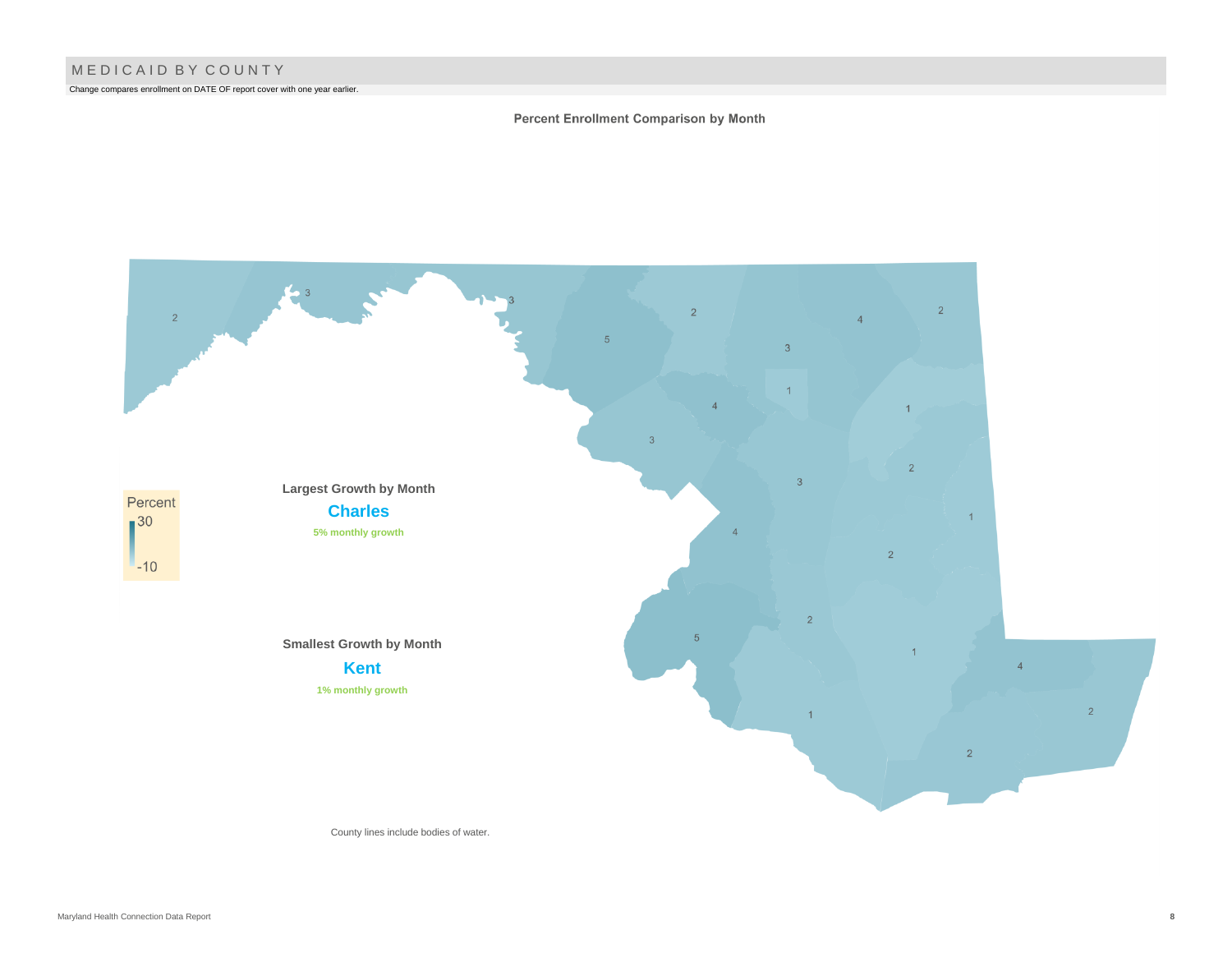Change compares enrollment on DATE OF report cover with one year earlier.

#### Percent Enrollment Comparison by Month



County lines include bodies of water.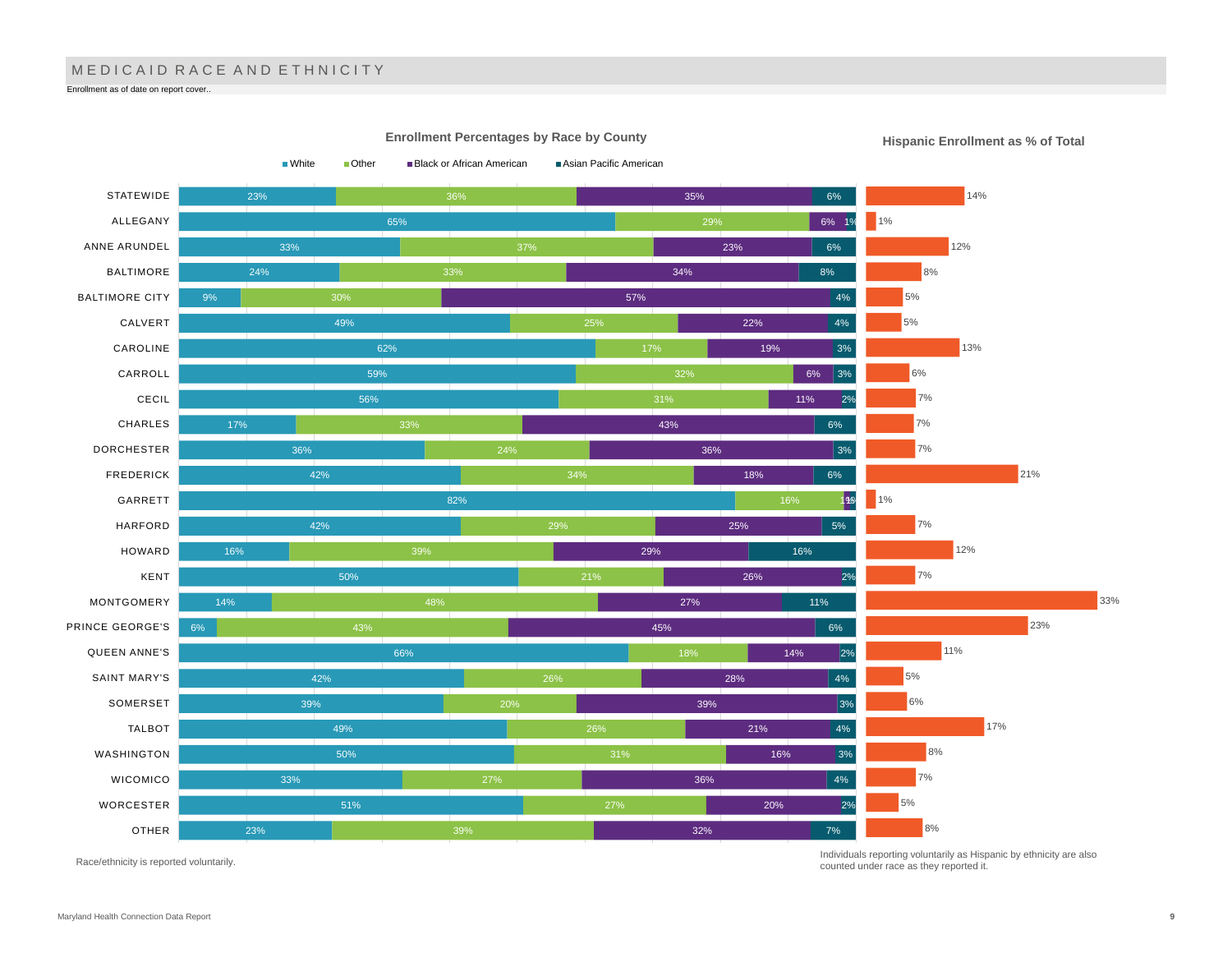# M E D I C A I D R A C E A N D E T H N I C I T Y

Enrollment as of date on report cover..



Race/ethnicity is reported voluntarily.

Individuals reporting voluntarily as Hispanic by ethnicity are also counted under race as they reported it.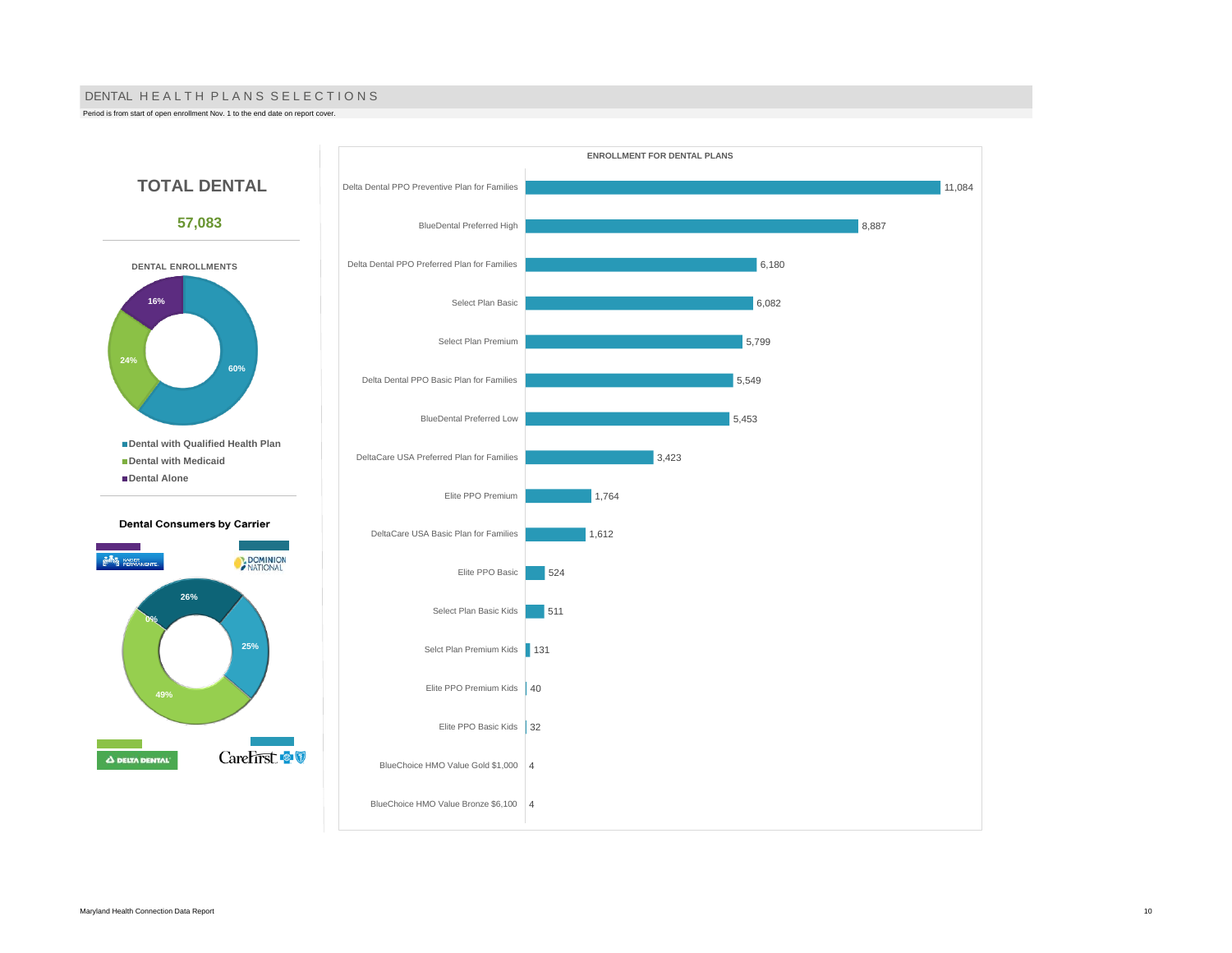#### DENTAL HE A L TH PLANS SELECTIONS

Period is from start of open enrollment Nov. 1 to the end date on report cover.

**24%**

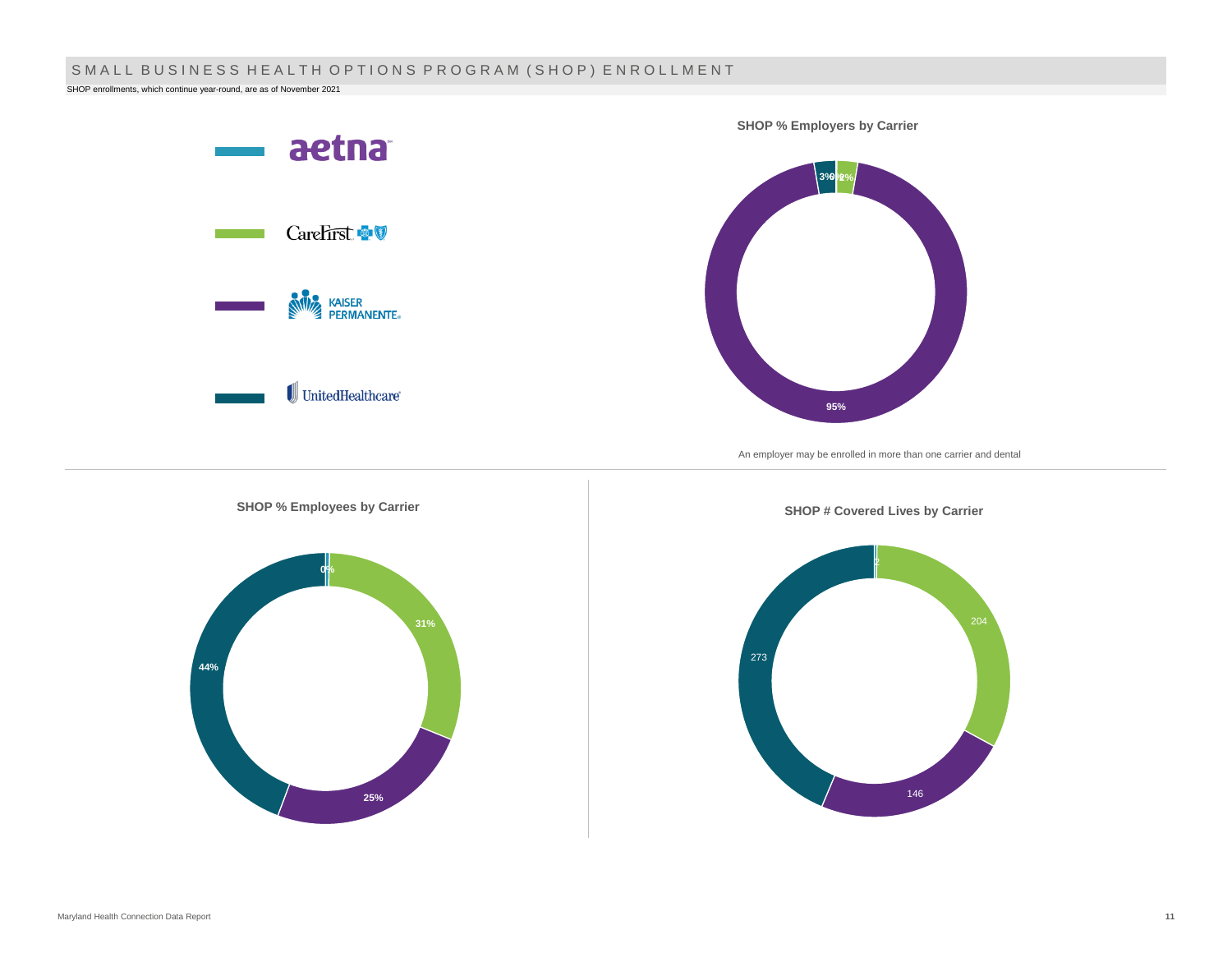# SMALL BUSINESS HEALTH OPTIONS PROGRAM (SHOP) ENROLLMENT

SHOP enrollments, which continue year-round, are as of November 2021

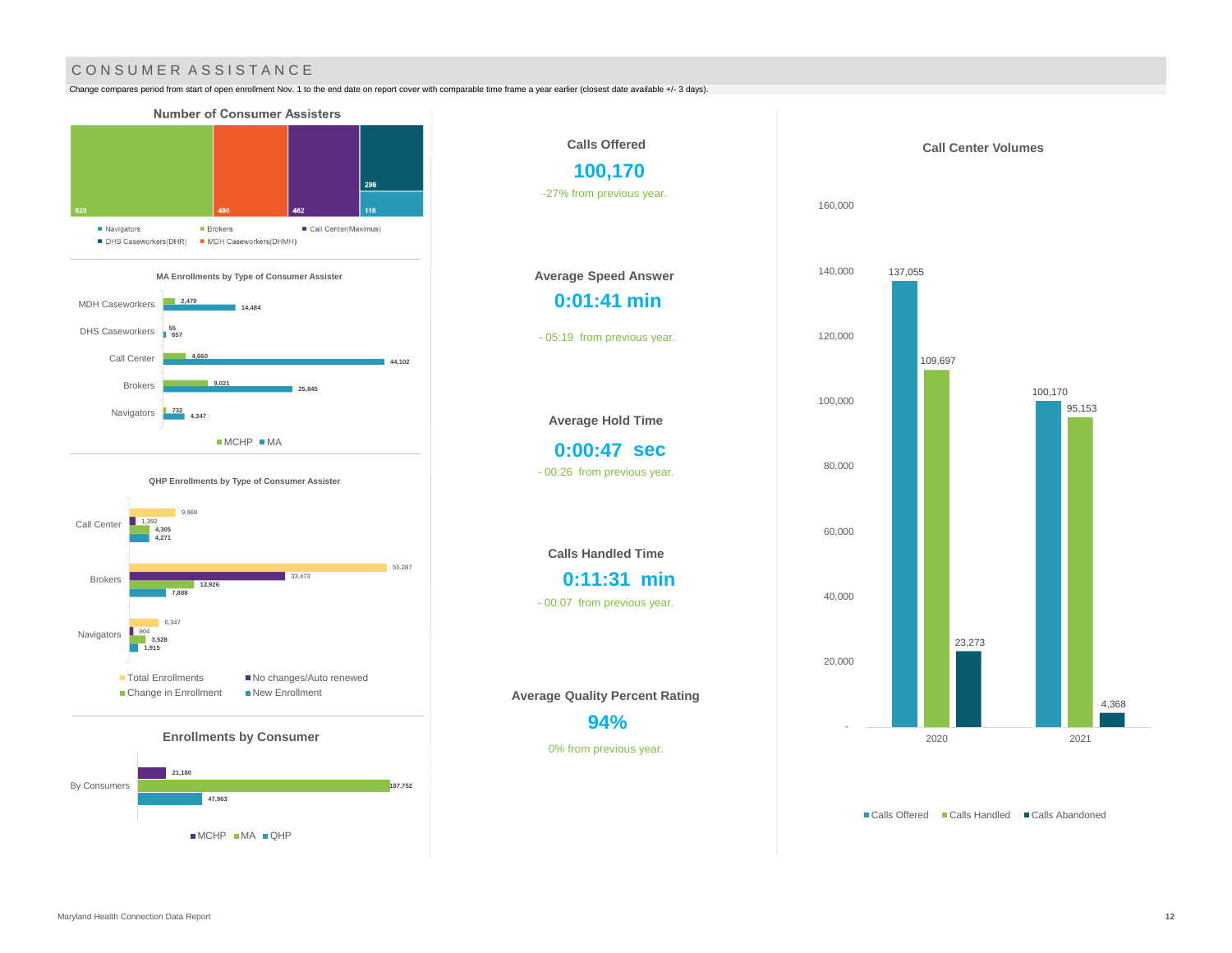## CONSUMER ASSISTANCE

Change compares period from start of open enrollment Nov. 1 to the end date on report cover with comparable time frame a year earlier (closest date available +/- 3 days).



MCHP MA QHP



95,153

4,368